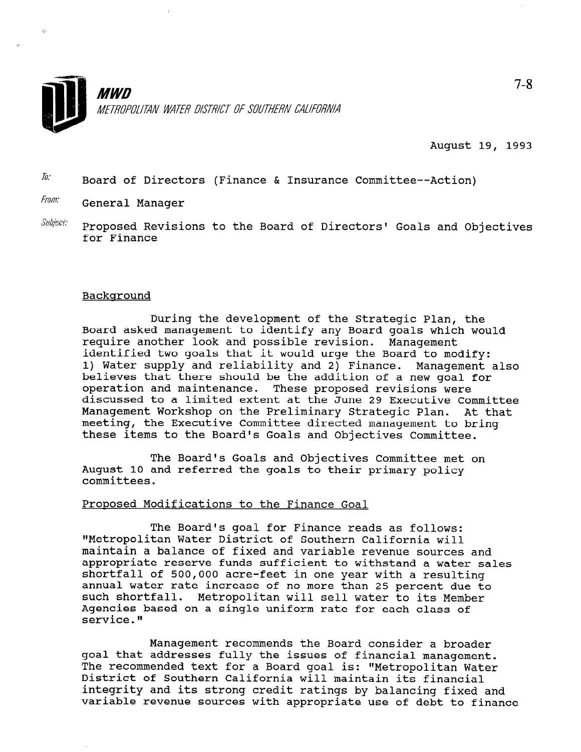

August 19, 1993

 $\bar{a}$ . Board of Directors (Finance & Insurance Committee--Action)

From: General Manager

 $\mathcal{L}$ 

 $\mathit{Subject:}$  Proposed Revisions to the Board of Directors' Goals and Objectives for Finance

## Backqround

During the development of the Strategic Plan, the Board asked management to identify any Board goals which would require another look and possible revision. Management identified two goals that it would urge the Board to modify: 1) Water supply and reliability and 2) Finance. Management also believes that there should be the addition of a new goal for operation and maintenance. These proposed revisions were discussed to a limited extent at the June 29 Executive Committee Management Workshop on the Preliminary Strategic Plan. At that meeting, the Executive Committee directed management to bring these items to the Board's Goals and Objectives Committee.

The Board's Goals and Objectives Committee met on August 10 and referred the goals to their primary policy committees.

## Proposed Modifications to the Finance Goal

The Board's goal for Finance reads as follows: "Metropolitan Water District of Southern California will maintain a balance of fixed and variable revenue sources and appropriate reserve funds sufficient to withstand a water sales shortfall of 500,000 acre-feet in one year with a resulting annual vater rate increase of no more than 25 percent due to the annuai water rate increase of no more than 25 percent que t<br>such shoutfall. Meters alter will sell water to it it is such shortfall. Metropolitan will sell water to its Member Agencies based on a single uniform rate for each class of<br>service."

Management recommends the Board consider a broader management recommends the Board consider a broade; goal that addresses fully the issues of financial management. The recommended text for a Board goal is: "Metropolitan Water District of Southern California will maintain its financial integrity and its strong credit ratings by balancing fixed and<br>variable revenue sources with appropriate use of debt to finance